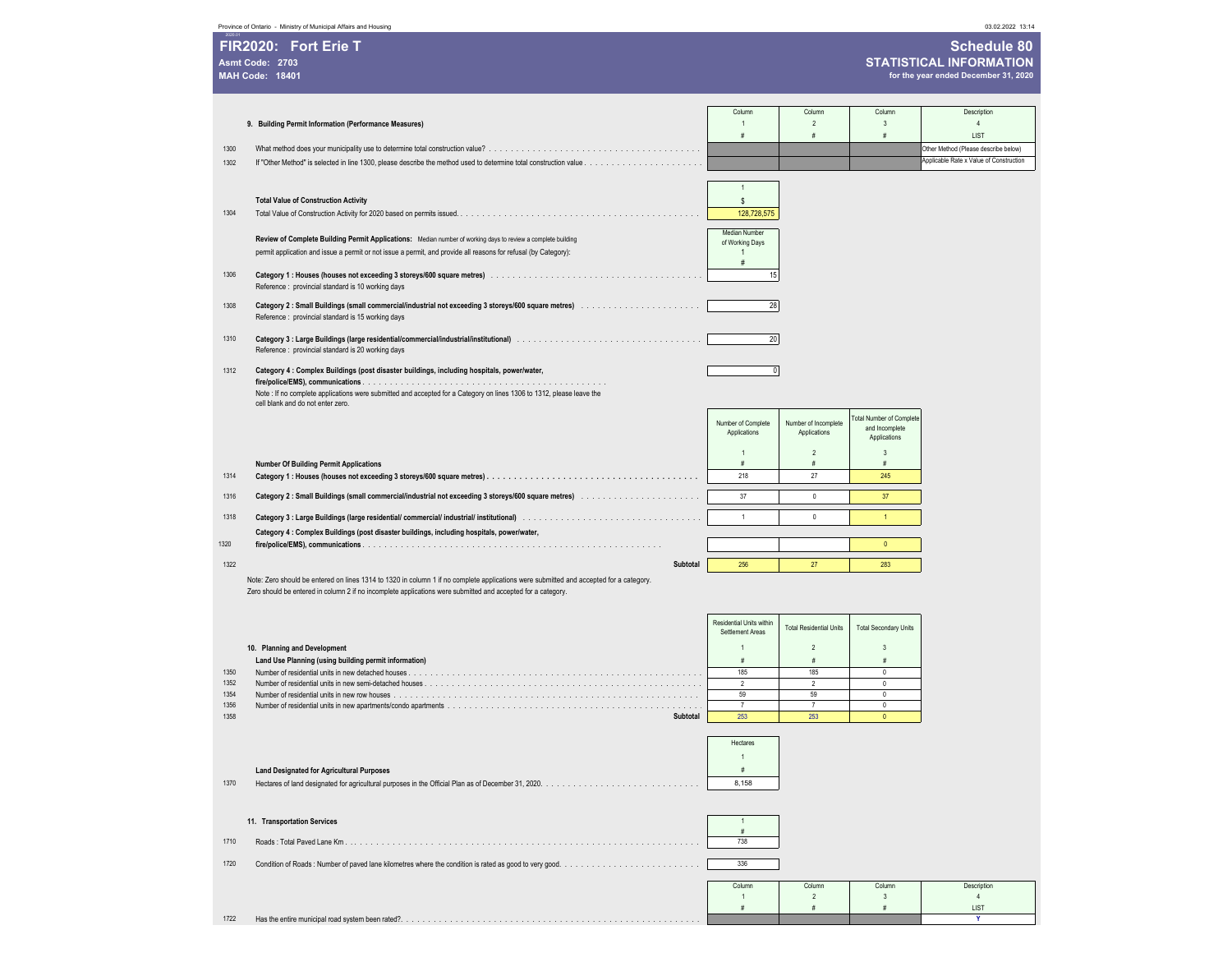|                        | FIR2020: Fort Erie T                                                                                                                                       |                                              |                                      |                                 | <b>Schedule 80</b>                      |
|------------------------|------------------------------------------------------------------------------------------------------------------------------------------------------------|----------------------------------------------|--------------------------------------|---------------------------------|-----------------------------------------|
| Asmt Code: 2703        |                                                                                                                                                            |                                              | <b>STATISTICAL INFORMATION</b>       |                                 |                                         |
| <b>MAH Code: 18401</b> |                                                                                                                                                            |                                              |                                      |                                 | for the year ended December 31, 2020    |
|                        |                                                                                                                                                            |                                              |                                      |                                 |                                         |
|                        |                                                                                                                                                            | Column                                       | Column                               | Column                          | Description                             |
|                        | 9. Building Permit Information (Performance Measures)                                                                                                      | $\mathbf{1}$<br>#                            | $\overline{2}$<br>#                  | 3<br>#                          | $\overline{4}$<br>LIST                  |
| 1300                   |                                                                                                                                                            |                                              |                                      |                                 | Other Method (Please describe below)    |
| 1302                   |                                                                                                                                                            |                                              |                                      |                                 | Applicable Rate x Value of Construction |
|                        |                                                                                                                                                            |                                              |                                      |                                 |                                         |
|                        |                                                                                                                                                            | $\overline{1}$                               |                                      |                                 |                                         |
| 1304                   | <b>Total Value of Construction Activity</b>                                                                                                                | \$                                           |                                      |                                 |                                         |
|                        |                                                                                                                                                            | 128,728,575                                  |                                      |                                 |                                         |
|                        | Review of Complete Building Permit Applications: Median number of working days to review a complete building                                               | Median Number<br>of Working Days             |                                      |                                 |                                         |
|                        | permit application and issue a permit or not issue a permit, and provide all reasons for refusal (by Category):                                            | 1                                            |                                      |                                 |                                         |
|                        |                                                                                                                                                            | #                                            |                                      |                                 |                                         |
| 1306                   |                                                                                                                                                            | 15                                           |                                      |                                 |                                         |
|                        | Reference : provincial standard is 10 working days                                                                                                         |                                              |                                      |                                 |                                         |
| 1308                   | Reference : provincial standard is 15 working days                                                                                                         | 28                                           |                                      |                                 |                                         |
|                        |                                                                                                                                                            |                                              |                                      |                                 |                                         |
| 1310                   |                                                                                                                                                            | 20                                           |                                      |                                 |                                         |
|                        | Reference : provincial standard is 20 working days                                                                                                         |                                              |                                      |                                 |                                         |
| 1312                   | Category 4 : Complex Buildings (post disaster buildings, including hospitals, power/water,                                                                 | $\mathbf{0}$                                 |                                      |                                 |                                         |
|                        |                                                                                                                                                            |                                              |                                      |                                 |                                         |
|                        | Note : If no complete applications were submitted and accepted for a Category on lines 1306 to 1312, please leave the<br>cell blank and do not enter zero. |                                              |                                      |                                 |                                         |
|                        |                                                                                                                                                            |                                              |                                      | <b>Total Number of Complete</b> |                                         |
|                        |                                                                                                                                                            | Number of Complete<br>Applications           | Number of Incomplete<br>Applications | and Incomplete                  |                                         |
|                        |                                                                                                                                                            |                                              |                                      | Applications                    |                                         |
|                        | <b>Number Of Building Permit Applications</b>                                                                                                              | #                                            | $\overline{2}$<br>#                  | 3<br>#                          |                                         |
| 1314                   |                                                                                                                                                            | 218                                          | 27                                   | 245                             |                                         |
| 1316                   |                                                                                                                                                            | 37                                           | $\mathbb O$                          | 37                              |                                         |
|                        |                                                                                                                                                            |                                              |                                      |                                 |                                         |
| 1318                   |                                                                                                                                                            | $\mathbf{1}$                                 | $\mathbf 0$                          | $\mathbf{1}$                    |                                         |
|                        | Category 4 : Complex Buildings (post disaster buildings, including hospitals, power/water,                                                                 |                                              |                                      |                                 |                                         |
| 1320                   |                                                                                                                                                            |                                              |                                      | $\mathbf{0}$                    |                                         |
| 1322                   | Subtotal                                                                                                                                                   | 256                                          | 27                                   | 283                             |                                         |
|                        | Note: Zero should be entered on lines 1314 to 1320 in column 1 if no complete applications were submitted and accepted for a category.                     |                                              |                                      |                                 |                                         |
|                        | Zero should be entered in column 2 if no incomplete applications were submitted and accepted for a category.                                               |                                              |                                      |                                 |                                         |
|                        |                                                                                                                                                            |                                              |                                      |                                 |                                         |
|                        |                                                                                                                                                            | Residential Units within<br>Settlement Areas | <b>Total Residential Units</b>       | <b>Total Secondary Units</b>    |                                         |
|                        | 10. Planning and Development                                                                                                                               |                                              | $\overline{2}$                       | $\mathbf{3}$                    |                                         |
|                        | Land Use Planning (using building permit information)                                                                                                      | #                                            | #                                    | #                               |                                         |
| 1350                   |                                                                                                                                                            | 185                                          | 185                                  | 0                               |                                         |
| 1352<br>1354           |                                                                                                                                                            | $\overline{2}$                               | $\overline{2}$                       | 0<br>$\mathbb O$                |                                         |
| 1356                   |                                                                                                                                                            | 59<br>$\overline{7}$                         | 59<br>$\overline{7}$                 | $\mathbf{0}$                    |                                         |
| 1358                   | Subtotal                                                                                                                                                   | 253                                          | 253                                  | $\mathbf 0$                     |                                         |
|                        |                                                                                                                                                            |                                              |                                      |                                 |                                         |
|                        |                                                                                                                                                            | Hectares                                     |                                      |                                 |                                         |
|                        |                                                                                                                                                            | 1                                            |                                      |                                 |                                         |
| 1370                   | <b>Land Designated for Agricultural Purposes</b>                                                                                                           | #<br>8,158                                   |                                      |                                 |                                         |
|                        |                                                                                                                                                            |                                              |                                      |                                 |                                         |
|                        |                                                                                                                                                            |                                              |                                      |                                 |                                         |
|                        | 11. Transportation Services                                                                                                                                | $\mathbf{1}$<br>#                            |                                      |                                 |                                         |
| 1710                   |                                                                                                                                                            | 738                                          |                                      |                                 |                                         |
|                        |                                                                                                                                                            |                                              |                                      |                                 |                                         |
| 1720                   |                                                                                                                                                            | 336                                          |                                      |                                 |                                         |
|                        |                                                                                                                                                            | Column                                       | Column                               | Column                          | Description                             |
|                        |                                                                                                                                                            | -1                                           | $\overline{2}$                       | 3                               | $\overline{4}$                          |
| 1722                   | Has the entire municipal road system been rated?.                                                                                                          | #                                            | #                                    | #                               | LIST<br>Y                               |
|                        |                                                                                                                                                            |                                              |                                      |                                 |                                         |